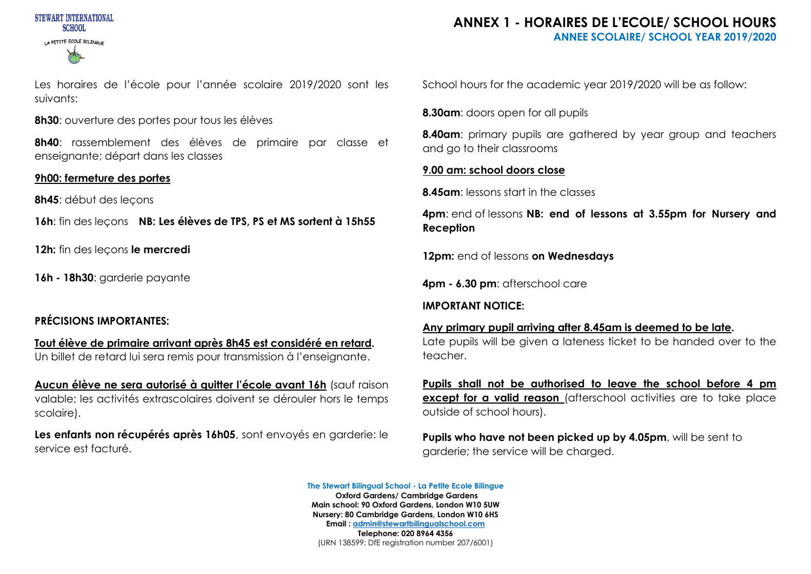

Les horaires de l'école pour l'année scolaire 2019/2020 sont les suivants:

**8h30**: ouverture des portes pour tous les élèves

**8h40**: rassemblement des élèves de primaire par classe et enseignante; départ dans les classes

## **9h00: fermeture des portes**

**8h45**: début des leçons

**16h**: fin des leçons **NB: Les élèves de TPS, PS et MS sortent à 15h55**

**12h:** fin des leçons **le mercredi**

**16h - 18h30**: garderie payante

# **PRÉCISIONS IMPORTANTES:**

**Tout élève de primaire arrivant après 8h45 est considéré en retard.** Un billet de retard lui sera remis pour transmission à l'enseignante.

**Aucun élève ne sera autorisé à quitter l'école avant 16h** (sauf raison valable; les activités extrascolaires doivent se dérouler hors le temps scolaire).

**Les enfants non récupérés après 16h05**, sont envoyés en garderie: le service est facturé.

## **ANNEX 1 - HORAIRES DE L'ECOLE/ SCHOOL HOURS ANNEE SCOLAIRE/ SCHOOL YEAR 2019/2020**

School hours for the academic year 2019/2020 will be as follow:

**8.30am**: doors open for all pupils

**8.40am**: primary pupils are gathered by year group and teachers and go to their classrooms

## **9.00 am: school doors close**

**8.45am**: lessons start in the classes

**4pm**: end of lessons **NB: end of lessons at 3.55pm for Nursery and Reception**

**12pm:** end of lessons **on Wednesdays**

**4pm - 6.30 pm**: afterschool care

#### **IMPORTANT NOTICE:**

#### **Any primary pupil arriving after 8.45am is deemed to be late.**

Late pupils will be given a lateness ticket to be handed over to the teacher.

**Pupils shall not be authorised to leave the school before 4 pm except for a valid reason** (afterschool activities are to take place outside of school hours).

**Pupils who have not been picked up by 4.05pm**, will be sent to garderie; the service will be charged.

**The Stewart Bilingual School - La Petite Ecole Bilingue Oxford Gardens/ Cambridge Gardens Main school: 90 Oxford Gardens, London W10 5UW Nursery: 80 Cambridge Gardens, London W10 6HS Email : admin@stewartbilingualschool.com** 

**Telephone: 020 8964 4356** (URN 138599; DfE registration number 207/6001)